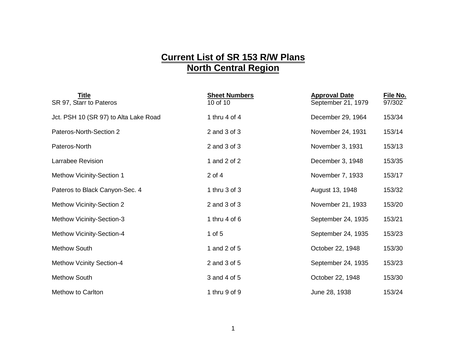## **Current List of SR 153 R/W Plans North Central Region**

| Title<br>SR 97, Starr to Pateros      | <b>Sheet Numbers</b><br>10 of 10 | <b>Approval Date</b><br>September 21, 1979 | File No.<br>97/302 |
|---------------------------------------|----------------------------------|--------------------------------------------|--------------------|
| Jct. PSH 10 (SR 97) to Alta Lake Road | 1 thru 4 of 4                    | December 29, 1964                          | 153/34             |
| Pateros-North-Section 2               | 2 and 3 of 3                     | November 24, 1931                          | 153/14             |
| Pateros-North                         | 2 and 3 of 3                     | November 3, 1931                           | 153/13             |
| Larrabee Revision                     | 1 and 2 of 2                     | December 3, 1948                           | 153/35             |
| Methow Vicinity-Section 1             | $2$ of $4$                       | November 7, 1933                           | 153/17             |
| Pateros to Black Canyon-Sec. 4        | 1 thru 3 of 3                    | August 13, 1948                            | 153/32             |
| <b>Methow Vicinity-Section 2</b>      | 2 and 3 of 3                     | November 21, 1933                          | 153/20             |
| Methow Vicinity-Section-3             | 1 thru $4$ of $6$                | September 24, 1935                         | 153/21             |
| Methow Vicinity-Section-4             | 1 of $5$                         | September 24, 1935                         | 153/23             |
| <b>Methow South</b>                   | 1 and 2 of 5                     | October 22, 1948                           | 153/30             |
| <b>Methow Vcinity Section-4</b>       | 2 and 3 of 5                     | September 24, 1935                         | 153/23             |
| <b>Methow South</b>                   | 3 and 4 of 5                     | October 22, 1948                           | 153/30             |
| Methow to Carlton                     | 1 thru 9 of 9                    | June 28, 1938                              | 153/24             |